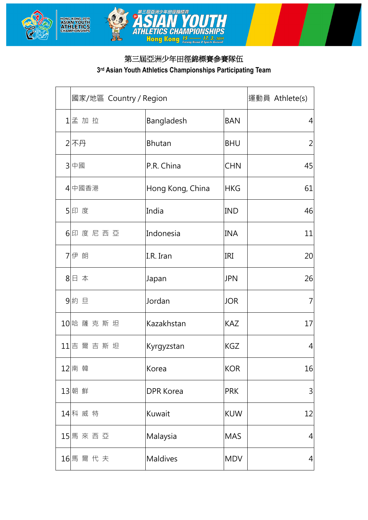



## 第三屆亞洲少年田徑錦標賽參賽隊伍

## **3rd Asian Youth Athletics Championships Participating Team**

| 國家/地區 Country / Region |                  |            | 運動員 Athlete(s) |
|------------------------|------------------|------------|----------------|
| 1孟加拉                   | Bangladesh       | <b>BAN</b> | 4              |
| 2不丹                    | <b>Bhutan</b>    | <b>BHU</b> | 2              |
| 3 中國                   | P.R. China       | <b>CHN</b> | 45             |
| 4 中國香港                 | Hong Kong, China | <b>HKG</b> | 61             |
| 5 印度                   | India            | <b>IND</b> | 46             |
| 6 印度尼西亞                | Indonesia        | <b>INA</b> | 11             |
| 7 伊朗                   | I.R. Iran        | IRI        | 20             |
| 8日 本                   | Japan            | <b>JPN</b> | 26             |
| 9約旦                    | Jordan           | <b>JOR</b> | 7              |
| 10 哈 薩 克 斯 坦           | Kazakhstan       | <b>KAZ</b> | 17             |
| 11吉爾吉斯坦                | Kyrgyzstan       | <b>KGZ</b> | 4              |
| 12南韓                   | Korea            | <b>KOR</b> | 16             |
| 13 朝 鮮                 | <b>DPR Korea</b> | <b>PRK</b> | $\mathsf{3}$   |
| 14 科 威 特               | Kuwait           | <b>KUW</b> | 12             |
| 15 馬 來 西 亞             | Malaysia         | <b>MAS</b> | 4              |
| 16 馬爾代夫                | <b>Maldives</b>  | <b>MDV</b> | 4              |